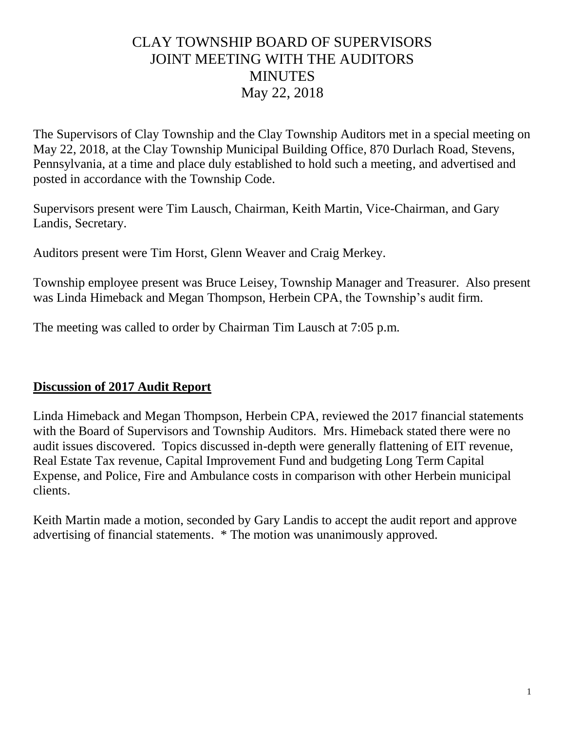## CLAY TOWNSHIP BOARD OF SUPERVISORS JOINT MEETING WITH THE AUDITORS **MINUTES** May 22, 2018

The Supervisors of Clay Township and the Clay Township Auditors met in a special meeting on May 22, 2018, at the Clay Township Municipal Building Office, 870 Durlach Road, Stevens, Pennsylvania, at a time and place duly established to hold such a meeting, and advertised and posted in accordance with the Township Code.

Supervisors present were Tim Lausch, Chairman, Keith Martin, Vice-Chairman, and Gary Landis, Secretary.

Auditors present were Tim Horst, Glenn Weaver and Craig Merkey.

Township employee present was Bruce Leisey, Township Manager and Treasurer. Also present was Linda Himeback and Megan Thompson, Herbein CPA, the Township's audit firm.

The meeting was called to order by Chairman Tim Lausch at 7:05 p.m.

## **Discussion of 2017 Audit Report**

Linda Himeback and Megan Thompson, Herbein CPA, reviewed the 2017 financial statements with the Board of Supervisors and Township Auditors. Mrs. Himeback stated there were no audit issues discovered. Topics discussed in-depth were generally flattening of EIT revenue, Real Estate Tax revenue, Capital Improvement Fund and budgeting Long Term Capital Expense, and Police, Fire and Ambulance costs in comparison with other Herbein municipal clients.

Keith Martin made a motion, seconded by Gary Landis to accept the audit report and approve advertising of financial statements. \* The motion was unanimously approved.